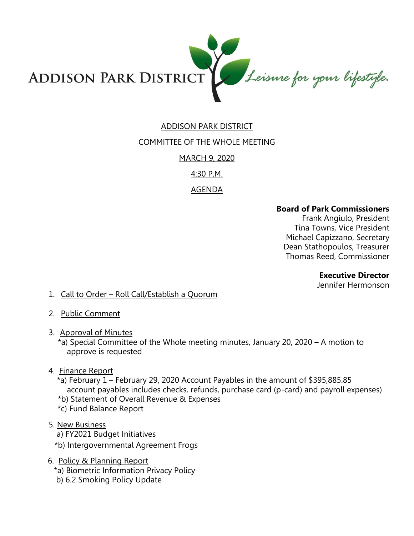

# ADDISON PARK DISTRICT

# COMMITTEE OF THE WHOLE MEETING

MARCH 9, 2020

4:30 P.M.

AGENDA

#### **Board of Park Commissioners**

Frank Angiulo, President Tina Towns, Vice President Michael Capizzano, Secretary Dean Stathopoulos, Treasurer Thomas Reed, Commissioner

**Executive Director** 

Jennifer Hermonson

- 1. Call to Order Roll Call/Establish a Quorum
- 2. Public Comment
- 3. Approval of Minutes
	- \*a) Special Committee of the Whole meeting minutes, January 20, 2020 A motion to approve is requested
- 4. Finance Report
	- \*a) February 1 February 29, 2020 Account Payables in the amount of \$395,885.85 account payables includes checks, refunds, purchase card (p-card) and payroll expenses)
	- \*b) Statement of Overall Revenue & Expenses
	- \*c) Fund Balance Report
- 5. New Business
	- a) FY2021 Budget Initiatives
	- \*b) Intergovernmental Agreement Frogs
- 6. Policy & Planning Report
	- \*a) Biometric Information Privacy Policy
	- b) 6.2 Smoking Policy Update